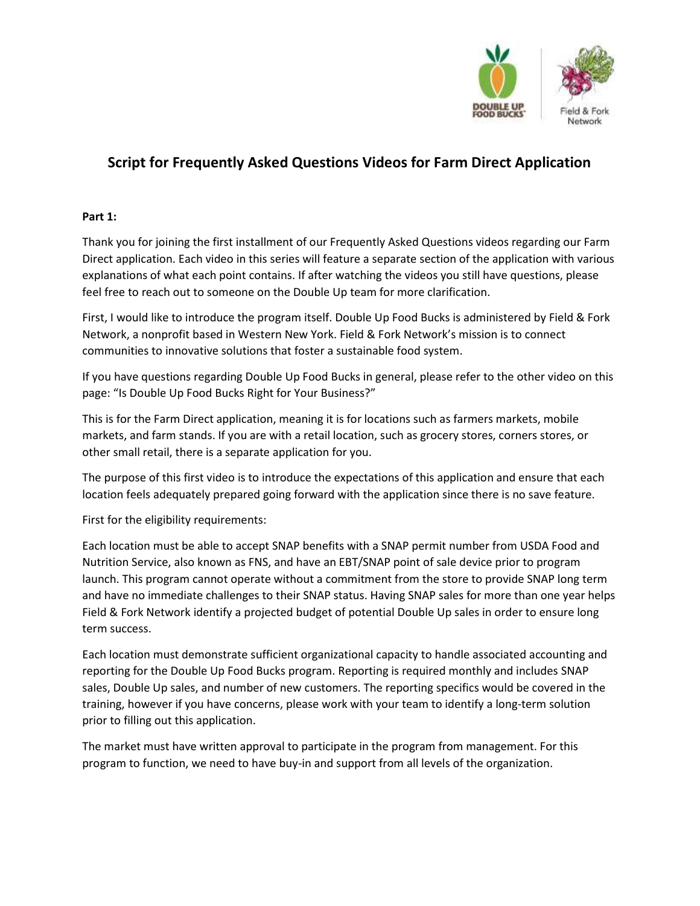

# Script for Frequently Asked Questions Videos for Farm Direct Application

## Part 1:

Thank you for joining the first installment of our Frequently Asked Questions videos regarding our Farm Direct application. Each video in this series will feature a separate section of the application with various explanations of what each point contains. If after watching the videos you still have questions, please feel free to reach out to someone on the Double Up team for more clarification.

First, I would like to introduce the program itself. Double Up Food Bucks is administered by Field & Fork Network, a nonprofit based in Western New York. Field & Fork Network's mission is to connect communities to innovative solutions that foster a sustainable food system.

If you have questions regarding Double Up Food Bucks in general, please refer to the other video on this page: "Is Double Up Food Bucks Right for Your Business?"

This is for the Farm Direct application, meaning it is for locations such as farmers markets, mobile markets, and farm stands. If you are with a retail location, such as grocery stores, corners stores, or other small retail, there is a separate application for you.

The purpose of this first video is to introduce the expectations of this application and ensure that each location feels adequately prepared going forward with the application since there is no save feature.

First for the eligibility requirements:

Each location must be able to accept SNAP benefits with a SNAP permit number from USDA Food and Nutrition Service, also known as FNS, and have an EBT/SNAP point of sale device prior to program launch. This program cannot operate without a commitment from the store to provide SNAP long term and have no immediate challenges to their SNAP status. Having SNAP sales for more than one year helps Field & Fork Network identify a projected budget of potential Double Up sales in order to ensure long term success.

Each location must demonstrate sufficient organizational capacity to handle associated accounting and reporting for the Double Up Food Bucks program. Reporting is required monthly and includes SNAP sales, Double Up sales, and number of new customers. The reporting specifics would be covered in the training, however if you have concerns, please work with your team to identify a long-term solution prior to filling out this application.

The market must have written approval to participate in the program from management. For this program to function, we need to have buy-in and support from all levels of the organization.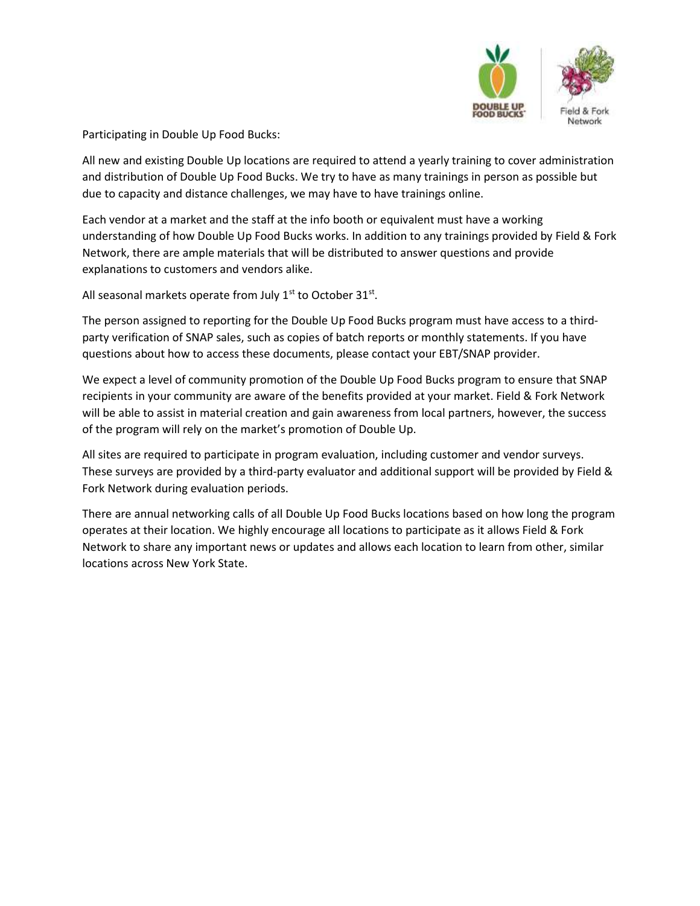

Participating in Double Up Food Bucks:

All new and existing Double Up locations are required to attend a yearly training to cover administration and distribution of Double Up Food Bucks. We try to have as many trainings in person as possible but due to capacity and distance challenges, we may have to have trainings online.

Each vendor at a market and the staff at the info booth or equivalent must have a working understanding of how Double Up Food Bucks works. In addition to any trainings provided by Field & Fork Network, there are ample materials that will be distributed to answer questions and provide explanations to customers and vendors alike.

All seasonal markets operate from July  $1<sup>st</sup>$  to October 31 $<sup>st</sup>$ .</sup>

The person assigned to reporting for the Double Up Food Bucks program must have access to a thirdparty verification of SNAP sales, such as copies of batch reports or monthly statements. If you have questions about how to access these documents, please contact your EBT/SNAP provider.

We expect a level of community promotion of the Double Up Food Bucks program to ensure that SNAP recipients in your community are aware of the benefits provided at your market. Field & Fork Network will be able to assist in material creation and gain awareness from local partners, however, the success of the program will rely on the market's promotion of Double Up.

All sites are required to participate in program evaluation, including customer and vendor surveys. These surveys are provided by a third-party evaluator and additional support will be provided by Field & Fork Network during evaluation periods.

There are annual networking calls of all Double Up Food Bucks locations based on how long the program operates at their location. We highly encourage all locations to participate as it allows Field & Fork Network to share any important news or updates and allows each location to learn from other, similar locations across New York State.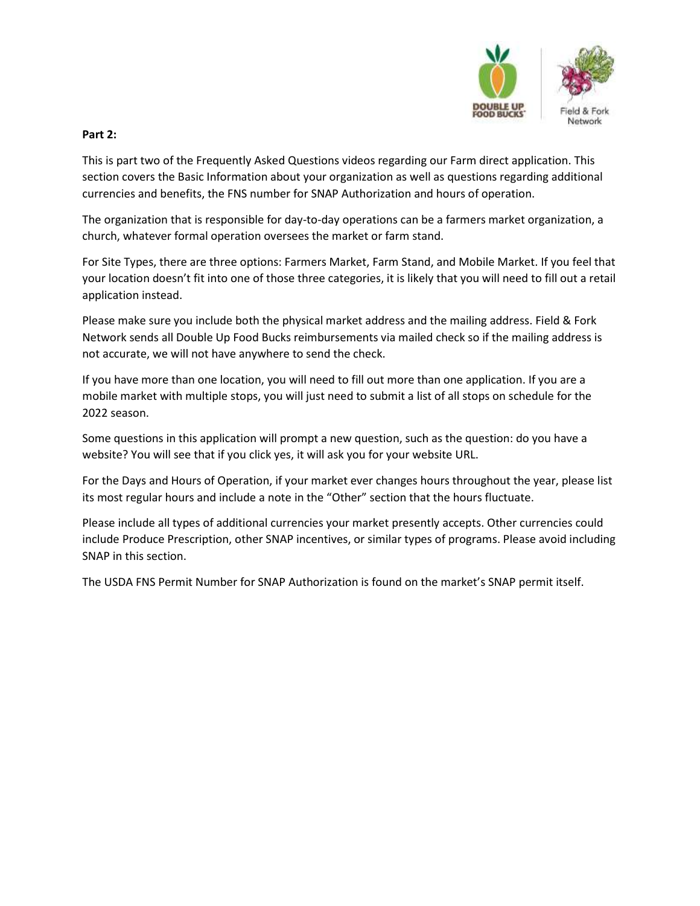

### Part 2:

This is part two of the Frequently Asked Questions videos regarding our Farm direct application. This section covers the Basic Information about your organization as well as questions regarding additional currencies and benefits, the FNS number for SNAP Authorization and hours of operation.

The organization that is responsible for day-to-day operations can be a farmers market organization, a church, whatever formal operation oversees the market or farm stand.

For Site Types, there are three options: Farmers Market, Farm Stand, and Mobile Market. If you feel that your location doesn't fit into one of those three categories, it is likely that you will need to fill out a retail application instead.

Please make sure you include both the physical market address and the mailing address. Field & Fork Network sends all Double Up Food Bucks reimbursements via mailed check so if the mailing address is not accurate, we will not have anywhere to send the check.

If you have more than one location, you will need to fill out more than one application. If you are a mobile market with multiple stops, you will just need to submit a list of all stops on schedule for the 2022 season.

Some questions in this application will prompt a new question, such as the question: do you have a website? You will see that if you click yes, it will ask you for your website URL.

For the Days and Hours of Operation, if your market ever changes hours throughout the year, please list its most regular hours and include a note in the "Other" section that the hours fluctuate.

Please include all types of additional currencies your market presently accepts. Other currencies could include Produce Prescription, other SNAP incentives, or similar types of programs. Please avoid including SNAP in this section.

The USDA FNS Permit Number for SNAP Authorization is found on the market's SNAP permit itself.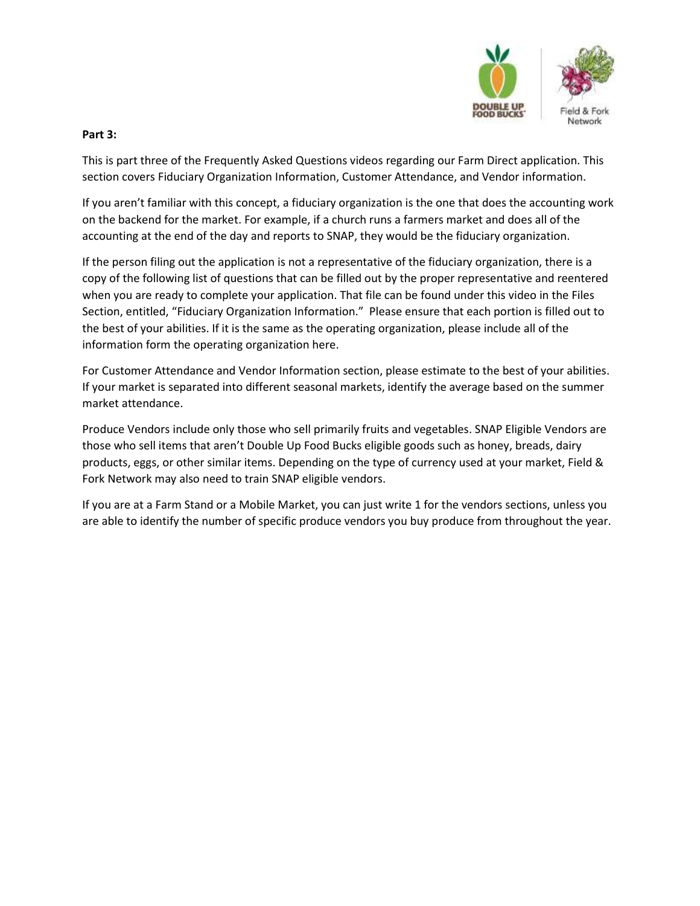

#### Part 3:

This is part three of the Frequently Asked Questions videos regarding our Farm Direct application. This section covers Fiduciary Organization Information, Customer Attendance, and Vendor information.

If you aren't familiar with this concept, a fiduciary organization is the one that does the accounting work on the backend for the market. For example, if a church runs a farmers market and does all of the accounting at the end of the day and reports to SNAP, they would be the fiduciary organization.

If the person filing out the application is not a representative of the fiduciary organization, there is a copy of the following list of questions that can be filled out by the proper representative and reentered when you are ready to complete your application. That file can be found under this video in the Files Section, entitled, "Fiduciary Organization Information." Please ensure that each portion is filled out to the best of your abilities. If it is the same as the operating organization, please include all of the information form the operating organization here.

For Customer Attendance and Vendor Information section, please estimate to the best of your abilities. If your market is separated into different seasonal markets, identify the average based on the summer market attendance.

Produce Vendors include only those who sell primarily fruits and vegetables. SNAP Eligible Vendors are those who sell items that aren't Double Up Food Bucks eligible goods such as honey, breads, dairy products, eggs, or other similar items. Depending on the type of currency used at your market, Field & Fork Network may also need to train SNAP eligible vendors.

If you are at a Farm Stand or a Mobile Market, you can just write 1 for the vendors sections, unless you are able to identify the number of specific produce vendors you buy produce from throughout the year.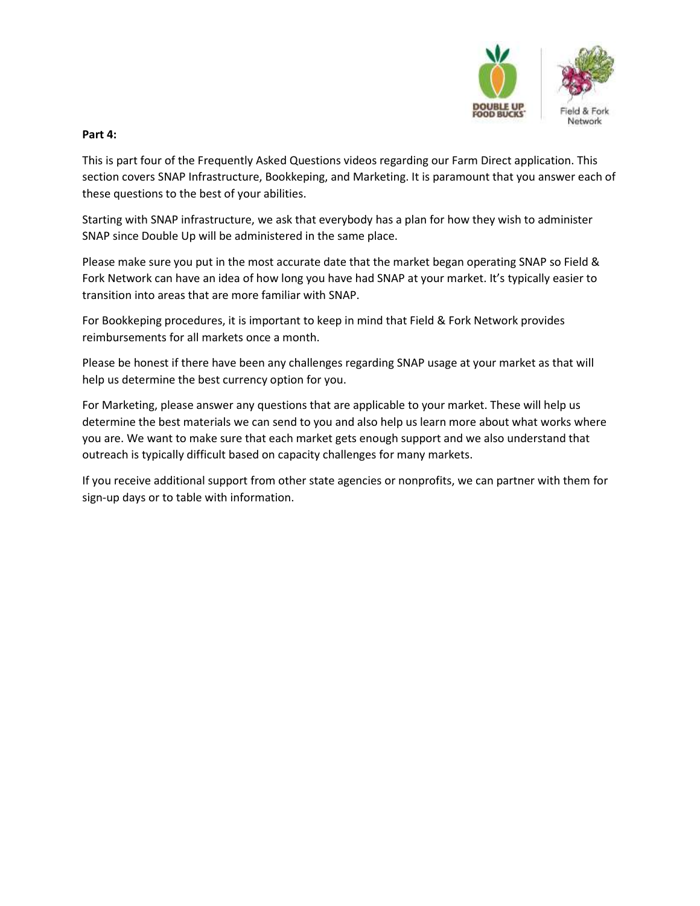

#### Part 4:

This is part four of the Frequently Asked Questions videos regarding our Farm Direct application. This section covers SNAP Infrastructure, Bookkeping, and Marketing. It is paramount that you answer each of these questions to the best of your abilities.

Starting with SNAP infrastructure, we ask that everybody has a plan for how they wish to administer SNAP since Double Up will be administered in the same place.

Please make sure you put in the most accurate date that the market began operating SNAP so Field & Fork Network can have an idea of how long you have had SNAP at your market. It's typically easier to transition into areas that are more familiar with SNAP.

For Bookkeping procedures, it is important to keep in mind that Field & Fork Network provides reimbursements for all markets once a month.

Please be honest if there have been any challenges regarding SNAP usage at your market as that will help us determine the best currency option for you.

For Marketing, please answer any questions that are applicable to your market. These will help us determine the best materials we can send to you and also help us learn more about what works where you are. We want to make sure that each market gets enough support and we also understand that outreach is typically difficult based on capacity challenges for many markets.

If you receive additional support from other state agencies or nonprofits, we can partner with them for sign-up days or to table with information.